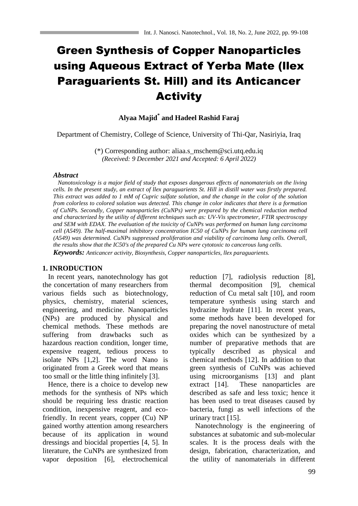# Green Synthesis of Copper Nanoparticles using Aqueous Extract of Yerba Mate (llex Paraguarients St. Hill) and its Anticancer **Activity**

# **Alyaa Majid\* and Hadeel Rashid Faraj**

Department of Chemistry, College of Science, University of Thi-Qar, Nasiriyia, Iraq

(\*) Corresponding author: aliaa.s\_mschem@sci.utq.edu.iq *(Received: 9 December 2021 and Accepted: 6 April 2022)*

#### *Abstract*

 *Nanotoxicology is a major field of study that exposes dangerous effects of nanomaterials on the living cells. In the present study, an extract of llex paraguarients St. Hill in distill water was firstly prepared. This extract was added to 1 mM of Cupric sulfate solution, and the change in the color of the solution from colorless to colored solution was detected. This change in color indicates that there is a formation of CuNPs. Secondly, Copper nanoparticles (CuNPs) were prepared by the chemical reduction method and characterized by the utility of different techniques such as: UV-Vis spectrometer, FTIR spectroscopy and SEM with EDAX. The evaluation of the toxicity of CuNPs was performed on human lung carcinoma cell (A549). The half-maximal inhibitory concentration IC50 of CuNPs for human lung carcinoma cell (A549) was determined. CuNPs suppressed proliferation and viability of carcinoma lung cells. Overall, the results show that the IC50's of the prepared Cu NPs were cytotoxic to cancerous lung cells. Keywords: Anticancer activity, Biosynthesis, Copper nanoparticles, llex paraguarients.*

#### **1. INRODUCTION**

 In recent years, nanotechnology has got the concertation of many researchers from various fields such as biotechnology, physics, chemistry, material sciences, engineering, and medicine. Nanoparticles (NPs) are produced by physical and chemical methods. These methods are suffering from drawbacks such as hazardous reaction condition, longer time, expensive reagent, tedious process to isolate NPs [1,2]. The word Nano is originated from a Greek word that means too small or the little thing infinitely [3].

 Hence, there is a choice to develop new methods for the synthesis of NPs which should be requiring less drastic reaction condition, inexpensive reagent, and ecofriendly. In recent years, copper (Cu) NP gained worthy attention among researchers because of its application in wound dressings and biocidal properties [4, 5]. In literature, the CuNPs are synthesized from vapor deposition [6], electrochemical reduction [7], radiolysis reduction [8], thermal decomposition [9], chemical reduction of Cu metal salt [10], and room temperature synthesis using starch and hydrazine hydrate [11]. In recent years, some methods have been developed for preparing the novel nanostructure of metal oxides which can be synthesized by a number of preparative methods that are typically described as physical and chemical methods [12]. In addition to that green synthesis of CuNPs was achieved using microorganisms [13] and plant extract [14]. These nanoparticles are described as safe and less toxic; hence it has been used to treat diseases caused by bacteria, fungi as well infections of the urinary tract [15].

 Nanotechnology is the engineering of substances at subatomic and sub-molecular scales. It is the process deals with the design, fabrication, characterization, and the utility of nanomaterials in different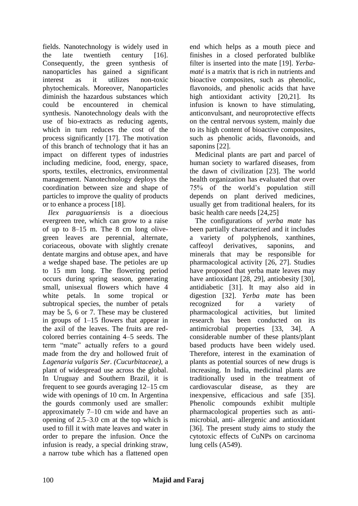fields. Nanotechnology is widely used in the late twentieth century [16]. Consequently, the green synthesis of nanoparticles has gained a significant interest as it utilizes non-toxic phytochemicals. Moreover, Nanoparticles diminish the hazardous substances which could be encountered in chemical synthesis. Nanotechnology deals with the use of bio-extracts as reducing agents, which in turn reduces the cost of the process significantly [17]. The motivation of this branch of technology that it has an impact on different types of industries including medicine, food, energy, space, sports, textiles, electronics, environmental management. Nanotechnology deploys the coordination between size and shape of particles to improve the quality of products or to enhance a process [18].

 *Ilex paraguariensis* is a dioecious evergreen tree, which can grow to a raise of up to 8–15 m. The 8 cm long olivegreen leaves are perennial, alternate, coriaceous, obovate with slightly crenate dentate margins and obtuse apex, and have a wedge shaped base. The petioles are up to 15 mm long. The flowering period occurs during spring season, generating small, unisexual flowers which have 4 white petals. In some tropical or subtropical species, the number of petals may be 5, 6 or 7. These may be clustered in groups of 1–15 flowers that appear in the axil of the leaves. The fruits are redcolored berries containing 4–5 seeds. The term "mate" actually refers to a gourd made from the dry and hollowed fruit of *Lagenaria vulgaris Ser*. *(Cucurbitaceae),* a plant of widespread use across the global. In Uruguay and Southern Brazil, it is frequent to see gourds averaging 12–15 cm wide with openings of 10 cm. In Argentina the gourds commonly used are smaller: approximately 7–10 cm wide and have an opening of 2.5–3.0 cm at the top which is used to fill it with mate leaves and water in order to prepare the infusion. Once the infusion is ready, a special drinking straw, a narrow tube which has a flattened open end which helps as a mouth piece and finishes in a closed perforated bulblike filter is inserted into the mate [19]. *Yerbamaté* is a matrix that is rich in nutrients and bioactive composites, such as phenolic, flavonoids, and phenolic acids that have high antioxidant activity [20,21]. Its infusion is known to have stimulating, anticonvulsant, and neuroprotective effects on the central nervous system, mainly due to its high content of bioactive composites, such as phenolic acids, flavonoids, and saponins [22].

 Medicinal plants are part and parcel of human society to warfared diseases, from the dawn of civilization [23]. The world health organization has evaluated that over 75% of the world's population still depends on plant derived medicines, usually get from traditional healers, for its basic health care needs [24,25]

 The configurations of *yerba mate* has been partially characterized and it includes a variety of polyphenols, xanthines, caffeoyl derivatives, saponins, and minerals that may be responsible for pharmacological activity [26, 27]. Studies have proposed that yerba mate leaves may have antioxidant [28, 29], antiobesity [30], antidiabetic [31]. It may also aid in digestion [32]. *Yerba mate* has been recognized for a variety of pharmacological activities, but limited research has been conducted on its antimicrobial properties [33, 34]. A considerable number of these plants/plant based products have been widely used. Therefore, interest in the examination of plants as potential sources of new drugs is increasing. In India, medicinal plants are traditionally used in the treatment of cardiovascular disease, as they are inexpensive, efficacious and safe [35]. Phenolic compounds exhibit multiple pharmacological properties such as antimicrobial, anti- allergenic and antioxidant [36]. The present study aims to study the cytotoxic effects of CuNPs on carcinoma lung cells (A549).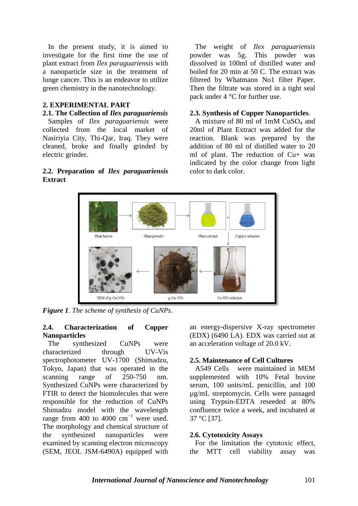In the present study, it is aimed to investigate for the first time the use of plant extract from *Ilex paraguariensis* with a nanoparticle size in the treatment of lunge cancer. This is an endeavor to utilize green chemistry in the nanotechnology.

## **2. EXPERIMENTAL PART**

#### **2.1. The Collection of** *Ilex paraguariensis*

 Samples of *Ilex paraguariensis* were collected from the local market of Nasiriyia City, Thi-Qar, Iraq. They were cleaned, broke and finally grinded by electric grinder.

# **2.2. Preparation of** *Ilex paraguariensis* **Extract**

 The weight of *Ilex paraguariensis* powder was 5g. This powder was dissolved in 100ml of distilled water and boiled for 20 min at 50 C. The extract was filtered by Whatmann No1 filter Paper. Then the filtrate was stored in a tight seal pack under 4 °C for further use.

## **2.3. Synthesis of Copper Nanoparticles**.

 A mixture of 80 ml of 1mM CuSO<sup>4</sup> and 20ml of Plant Extract was added for the reaction. Blank was prepared by the addition of 80 ml of distilled water to 20 ml of plant. The reduction of Cu+ was indicated by the color change from light color to dark color.



*Figure 1. The scheme of synthesis of CuNPs.*

## **2.4. Characterization of Copper Nanoparticles**

 The synthesized CuNPs were characterized through UV-Vis spectrophotometer UV-1700 (Shimadzu, Tokyo, Japan) that was operated in the scanning range of 250-750 nm. Synthesized CuNPs were characterized by FTIR to detect the biomolecules that were responsible for the reduction of CuNPs Shimadzu model with the wavelength range from 400 to 4000  $cm^{-1}$  were used. The morphology and chemical structure of the synthesized nanoparticles were examined by scanning electron microscopy (SEM, JEOL JSM-6490A) equipped with an energy-dispersive X-ray spectrometer (EDX) (6490 LA). EDX was carried out at an acceleration voltage of 20.0 kV.

## **2.5. Maintenance of Cell Cultures**

 A549 Cells were maintained in MEM supplemented with 10% Fetal bovine serum, 100 units/mL penicillin, and 100 µg/mL streptomycin. Cells were passaged using Trypsin-EDTA reseeded at 80% confluence twice a week, and incubated at 37 °C [37].

#### **2.6. Cytotoxicity Assays**

 For the limitation the cytotoxic effect, the MTT cell viability assay was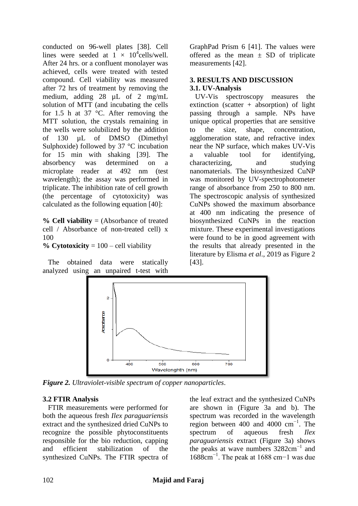conducted on 96-well plates [38]. Cell lines were seeded at  $1 \times 10^4$ cells/well. After 24 hrs. or a confluent monolayer was achieved, cells were treated with tested compound. Cell viability was measured after 72 hrs of treatment by removing the medium, adding 28 µL of 2 mg/mL solution of MTT (and incubating the cells for 1.5 h at 37  $\degree$ C. After removing the MTT solution, the crystals remaining in the wells were solubilized by the addition of 130 µL of DMSO (Dimethyl Sulphoxide) followed by 37 °C incubation for 15 min with shaking [39]. The absorbency was determined on a microplate reader at 492 nm (test wavelength); the assay was performed in triplicate. The inhibition rate of cell growth (the percentage of cytotoxicity) was calculated as the following equation [40]:

**% Cell viability** = (Absorbance of treated cell / Absorbance of non-treated cell) x 100

# **% Cytotoxicity** = 100 – cell viability

 The obtained data were statically analyzed using an unpaired t-test with GraphPad Prism 6 [41]. The values were offered as the mean  $\pm$  SD of triplicate measurements [42].

# **3. RESULTS AND DISCUSSION 3.1. UV-Analysis**

 UV-Vis spectroscopy measures the extinction (scatter  $+$  absorption) of light passing through a sample. NPs have unique optical properties that are sensitive to the size, shape, concentration, agglomeration state, and refractive index near the NP surface, which makes UV-Vis a valuable tool for identifying, characterizing, and studying nanomaterials. The biosynthesized CuNP was monitored by UV-spectrophotometer range of absorbance from 250 to 800 nm. The spectroscopic analysis of synthesized CuNPs showed the maximum absorbance at 400 nm indicating the presence of biosynthesized CuNPs in the reaction mixture. These experimental investigations were found to be in good agreement with the results that already presented in the literature by Elisma *et al*., 2019 as Figure 2 [43].



*Figure 2. Ultraviolet-visible spectrum of copper nanoparticles*.

# **3.2 FTIR Analysis**

 FTIR measurements were performed for both the aqueous fresh *Ilex paraguariensis* extract and the synthesized dried CuNPs to recognize the possible phytoconstituents responsible for the bio reduction, capping and efficient stabilization of the synthesized CuNPs. The FTIR spectra of

the leaf extract and the synthesized CuNPs are shown in (Figure 3a and b). The spectrum was recorded in the wavelength region between 400 and 4000  $cm^{-1}$ . The spectrum of aqueous fresh *Ilex paraguariensis* extract (Figure 3a) shows the peaks at wave numbers 3282cm−1 and 1688cm−1. The peak at 1688 cm−1 was due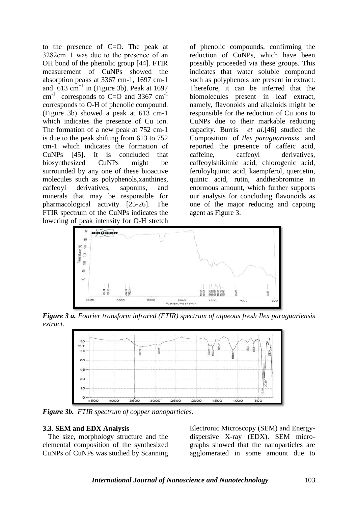to the presence of C=O. The peak at 3282cm−1 was due to the presence of an OH bond of the phenolic group [44]. FTIR measurement of CuNPs showed the absorption peaks at 3367 cm-1, 1697 cm-1 and  $613 \text{ cm}^{-1}$  in (Figure 3b). Peak at 1697 cm<sup>-1</sup> corresponds to C=O and 3367  $cm^{-1}$ corresponds to O-H of phenolic compound. (Figure 3b) showed a peak at 613 cm-1 which indicates the presence of Cu ion. The formation of a new peak at 752 cm-1 is due to the peak shifting from 613 to 752 cm-1 which indicates the formation of CuNPs [45]. It is concluded that biosynthesized CuNPs might be surrounded by any one of these bioactive molecules such as polyphenols,xanthines, caffeoyl derivatives, saponins, and minerals that may be responsible for pharmacological activity [25-26]. The FTIR spectrum of the CuNPs indicates the lowering of peak intensity for O-H stretch

of phenolic compounds, confirming the reduction of CuNPs, which have been possibly proceeded via these groups. This indicates that water soluble compound such as polyphenols are present in extract. Therefore, it can be inferred that the biomolecules present in leaf extract, namely, flavonoids and alkaloids might be responsible for the reduction of Cu ions to CuNPs due to their markable reducing capacity. Burris *et al*.[46] studied the Composition of *Ilex paraguariensis* and reported the presence of caffeic acid, caffeine, caffeoyl derivatives, caffeoylshikimic acid, chlorogenic acid, feruloylquinic acid, kaempferol, quercetin, quinic acid, rutin, andtheobromine in enormous amount, which further supports our analysis for concluding flavonoids as one of the major reducing and capping agent as Figure 3.



*Figure 3 a. Fourier transform infrared (FTIR) spectrum of aqueous fresh Ilex paraguariensis extract.*



*Figure 3b. FTIR spectrum of copper nanoparticles*.

## **3.3. SEM and EDX Analysis**

 The size, morphology structure and the elemental composition of the synthesized CuNPs of CuNPs was studied by Scanning

Electronic Microscopy (SEM) and Energydispersive X-ray (EDX). SEM micrographs showed that the nanoparticles are agglomerated in some amount due to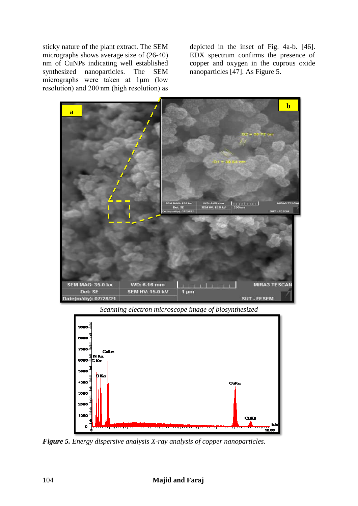sticky nature of the plant extract. The SEM micrographs shows average size of (26-40) nm of CuNPs indicating well established synthesized nanoparticles. The SEM micrographs were taken at 1μm (low resolution) and 200 nm (high resolution) as

depicted in the inset of Fig. 4a-b. [46]. EDX spectrum confirms the presence of copper and oxygen in the cuprous oxide nanoparticles [47]. As Figure 5.



*Scanning electron microscope image of biosynthesized*



*Figure 5. Energy dispersive analysis X-ray analysis of copper nanoparticles.*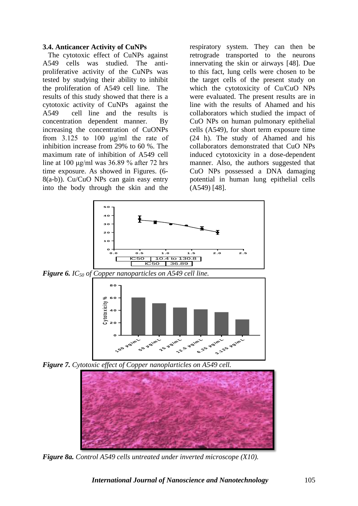## **3.4. Anticancer Activity of CuNPs**

 The cytotoxic effect of CuNPs against A549 cells was studied. The antiproliferative activity of the CuNPs was tested by studying their ability to inhibit the proliferation of A549 cell line. The results of this study showed that there is a cytotoxic activity of CuNPs against the A549 cell line and the results is concentration dependent manner. By increasing the concentration of CuONPs from 3.125 to 100 μg/ml the rate of inhibition increase from 29% to 60 %. The maximum rate of inhibition of A549 cell line at 100 μg/ml was 36.89 % after 72 hrs time exposure. As showed in Figures. (6- 8(a-b)). Cu/CuO NPs can gain easy entry into the body through the skin and the

respiratory system. They can then be retrograde transported to the neurons innervating the skin or airways [48]. Due to this fact, lung cells were chosen to be the target cells of the present study on which the cytotoxicity of Cu/CuO NPs were evaluated. The present results are in line with the results of Ahamed and his collaborators which studied the impact of CuO NPs on human pulmonary epithelial cells (A549), for short term exposure time (24 h). The study of Ahamed and his collaborators demonstrated that CuO NPs induced cytotoxicity in a dose-dependent manner. Also, the authors suggested that CuO NPs possessed a DNA damaging potential in human lung epithelial cells (A549) [48].



*Figure 7. Cytotoxic effect of Copper nanoplarticles on A549 cell.*



*Figure 8a. Control A549 cells untreated under inverted microscope (X10).*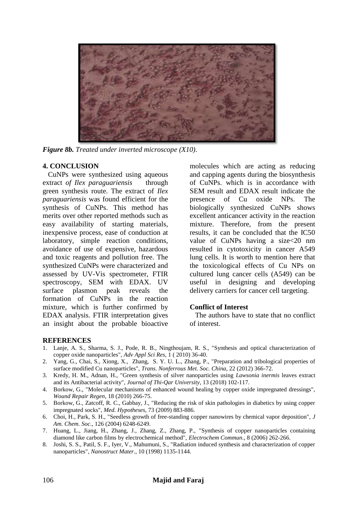

*Figure 8b. Treated under inverted microscope (X10)*.

# **4. CONCLUSION**

 CuNPs were synthesized using aqueous extract *of Ilex paraguariensis* through green synthesis route. The extract of *Ilex paraguariensis* was found efficient for the synthesis of CuNPs. This method has merits over other reported methods such as easy availability of starting materials, inexpensive process, ease of conduction at laboratory, simple reaction conditions, avoidance of use of expensive, hazardous and toxic reagents and pollution free. The synthesized CuNPs were characterized and assessed by UV-Vis spectrometer, FTIR spectroscopy, SEM with EDAX. UV surface plasmon peak reveals the formation of CuNPs in the reaction mixture, which is further confirmed by EDAX analysis. FTIR interpretation gives an insight about the probable bioactive

molecules which are acting as reducing and capping agents during the biosynthesis of CuNPs. which is in accordance with SEM result and EDAX result indicate the presence of Cu oxide NPs. The biologically synthesized CuNPs shows excellent anticancer activity in the reaction mixture. Therefore, from the present results, it can be concluded that the IC50 value of CuNPs having a size<20 nm resulted in cytotoxicity in cancer A549 lung cells. It is worth to mention here that the toxicological effects of Cu NPs on cultured lung cancer cells (A549) can be useful in designing and developing delivery carriers for cancer cell targeting.

# **Conflict of Interest**

 The authors have to state that no conflict of interest.

## **REFERENCES**

- 1. Lanje, A. S., Sharma, S. J., Pode, R. B., Ningthoujam, R. S., "Synthesis and optical characterization of copper oxide nanoparticles", *Adv Appl Sci Res*, 1 ( 2010) 36-40.
- 2. Yang, G., Chai, S., Xiong, X., Zhang, S. Y. U. L., Zhang, P., "Preparation and tribological properties of surface modified Cu nanoparticles", *Trans. Nonferrous Met. Soc. China*, 22 (2012) 366-72.
- 3. Kredy, H. M., Adnan, H., "Green synthesis of silver nanoparticles using *Lawsonia inermis* leaves extract and its Antibacterial activity", *Journal of Thi-Qar University*, 13 (2018) 102-117.
- 4. Borkow, G., "Molecular mechanisms of enhanced wound healing by copper oxide impregnated dressings", *Wound Repair Regen*, 18 (2010) 266-75.
- 5. Borkow, G., Zatcoff, R. C., Gabbay, J., "Reducing the risk of skin pathologies in diabetics by using copper impregnated socks", *Med. Hypotheses*, 73 (2009) 883-886.
- 6. Choi, H., Park, S. H., "Seedless growth of free-standing copper nanowires by chemical vapor deposition", *J Am. Chem. Soc*., 126 (2004) 6248-6249.
- 7. Huang, L., Jiang, H., Zhang, J., Zhang, Z., Zhang, P., "Synthesis of copper nanoparticles containing diamond like carbon films by electrochemical method", *Electrochem Commun*., 8 (2006) 262-266.
- 8. Joshi, S. S., Patil, S. F., Iyer, V., Mahumuni, S., "Radiation induced synthesis and characterization of copper nanoparticles", *Nanostruct Mater.*, 10 (1998) 1135-1144.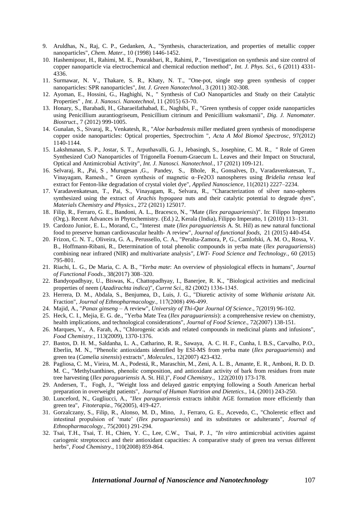- 9. Aruldhas, N., Raj, C. P., Gedanken, A., "Synthesis, characterization, and properties of metallic copper nanoparticles", *Chem. Mater.*, 10 (1998) 1446-1452.
- 10. Hashemipour, H., Rahimi, M. E., Pourakbari, R., Rahimi, P., "Investigation on synthesis and size control of copper nanoparticle via electrochemical and chemical reduction method", *Int. J. Phys. Sci.*, 6 (2011) 4331- 4336.
- 11. Surmawar, N. V., Thakare, S. R., Khaty, N. T., "One-pot, single step green synthesis of copper nanoparticles: SPR nanoparticles", *Int. J. Green Nanotechnol.,* 3 (2011) 302-308.
- 12. Ayoman, E., Hossini, G., Haghighi, N., " Synthesis of CuO Nanoparticles and Study on their Catalytic Properties" *, Int. J. Nanosci. Nanotechnol*, 11 (2015) 63-70.
- 13. Honary, S., Barabadi, H., Gharaeifathabad, E., Naghibi, F., "Green synthesis of copper oxide nanoparticles using Penicillium aurantiogriseum, Penicillium citrinum and Penicillium waksmanii", *Dig. J. Nanomater. Biostruct*., 7 (2012) 999-1005.
- 14. Gunalan, S., Sivaraj, R., Venkatesh, R., "*Aloe barbadensis* miller mediated green synthesis of monodisperse copper oxide nanoparticles: Optical properties, Spectrochim ", *Acta A Mol Biomol Spectrosc*, 97(2012) 1140-1144.
- 15. Lakshmanan, S. P., Jostar, S. T., Arputhavalli, G. J., Jebasingh, S., Josephine, C. M. R., '' Role of Green Synthesized CuO Nanoparticles of Trigonella Foenum-Graecum L. Leaves and their Impact on Structural, Optical and Antimicrobial Activity", *Int. J. Nanosci. Nanotechnol.*, 17 (2021) 109-121.
- 16. Selvaraj, R., ,Pai, S , Murugesan ,G., Pandey, S., Bhole, R., Gonsalves, D., Varadavenkatesan, T., Vinayagam, Ramesh., " Green synthesis of magnetic α–Fe2O3 nanospheres using *Bridelia retusa* leaf extract for Fenton-like degradation of crystal violet dye", *Applied Nanoscience*, 11(2021) 2227–2234.
- 17. Varadavenkatesan, T., Pai, S., Vinayagam, R., Selvara, R., "Characterization of silver nano-spheres synthesized using the extract of *Arachis hypogaea* nuts and their catalytic potential to degrade dyes", *Materials Chemistry and Physics*., 272 (2021) 125017.
- 18. Filip, R., Ferraro, G. E., Bandoni, A. L., Bracesco, N., "Mate (*Ilex paraguariensis*)". In: Filippo Imperatto (Org.). Recent Advances in Phytochemistry. (Ed.) 2, Kerala (India), Filippo Imperatto, 1 (2010) 113–131.
- 19. Cardozo Junior, E. L., Morand, C., "Interest mate (*llex paraguariensis* A. St. Hil) as new natural functional food to preserve human cardiovascular health- A review", *Journal of functional foods,* 21 (2015) 440-454.
- 20. Frizon, C. N. T., Oliveira, G. A., Perussello, C. A., "Peralta-Zamora, P, G., Camlofski, A. M. O., Rossa, V. B., Hoffmann-Ribani, R., Determination of total phenolic compounds in yerba mate (*llex paraguariensis*) combining near infrared (NIR) and multivariate analysis*", LWT- Food Science and Technology.,* 60 (2015) 795-801.
- 21. Riachi, L. G., De Maria, C. A. B., "*Yerba mate*: An overview of physiological effects in humans", *Journal of Functional Foods*., 38(2017) 308–320.
- 22. Bandyopadhyay, U., Biswas, K., Chattopadhyay, I., Banerjee, R. K., "Biological activities and medicinal properties of neem (*Azadirachta indica*)", *Currnt Sci.,* 82 (2002) 1336‐1345.
- 23. Herrera, D. M., Abdala, S., Benjumea, D., Luis, J. G., "Diuretic activity of some *Withania aristata* Ait. Fraction", *Journal of Ethnopharmacology.,* 117(2008) 496‐499.
- 24. Majid, A., "*Panax ginseng*  A review", *University of Thi-Qar Journal Of Science*., 7(2019) 96-102.
- 25. Heck, C. I., Mejia, E. G. de., "Yerba Mate Tea (*Ilex paraguariensis*): a comprehensive review on chemistry, health implications, and technological considerations", *Journal of Food Science.,* 72(2007) 138-151.
- 26. Marques, V., A. Farah, A., "Chlorogenic acids and related compounds in medicinal plants and infusions", *Food Chemistry.,* 113(2009), 1370-1376.
- 27. Bastos, D. H. M., Saldanha, L. A., Catharino, R. R., Sawaya, A. C. H. F., Cunha, I. B.S., Carvalho, P.O., Eberlin, M. N., "Phenolic antioxidants identified by ESI-MS from yerba mate (*Ilex paraguariensis*) and green tea (*Camelia sinensis*) extracts", *Molecules.,* 12(2007) 423-432.
- 28. Pagliosa, C. M., Vieira, M. A., Podestá, R., Maraschin, M., Zeni, A. L. B., Amante, E. R., Amboni, R. D. D. M. C., "Methylxanthines, phenolic composition, and antioxidant activity of bark from residues from mate tree harvesting (*Ilex paraguariensis* A. St. Hil.)", *Food Chemistry.,* 122(2010) 173-178.
- 29. Andersen, T., Fogh, J., "Weight loss and delayed gastric emptying following a South American herbal preparation in overweight patients", *Journal of Human Nutrition and Dietetics.,* 14, (2001) 243-250.
- 30. Lunceford, N., Gugliucci, A., *"Ilex paraguariensis* extracts inhibit AGE formation more efficiently than green tea", *Fitoterapia.,* 76(2005), 419-427.
- 31. Gorzalczany, S., Filip, R., Alonso, M. D., Mino, J., Ferraro, G. E., Acevedo, C., "Choleretic effect and intestinal propulsion of 'mate' (*Ilex paraguariensis*) and its substitutes or adulterants", *Journal of Ethnopharmacology.,* 75(2001) 291-294.
- 32. Tsai, T.H., Tsai, T. H., Chien, Y. C., Lee, C.W., Tsai, P. J., *"In vitro* antimicrobial activities against cariogenic streptococci and their antioxidant capacities: A comparative study of green tea versus different herbs", *Food Chemistry.,* 110(2008) 859-864.